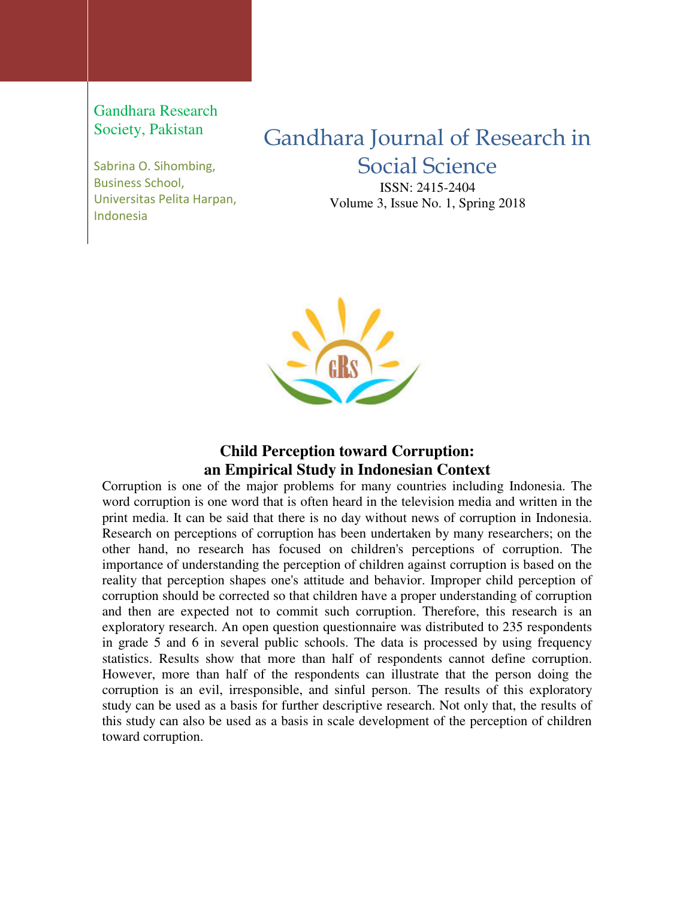Gandhara Research Society, Pakistan

Sabrina O. Sihombing, Business School, Universitas Pelita Harpan, Indonesia

# Gandhara Journal of Research in Social Science

ISSN: 2415-2404 Volume 3, Issue No. 1, Spring 2018



## **Child Perception toward Corruption: an Empirical Study in Indonesian Context**

Corruption is one of the major problems for many countries including Indonesia. The word corruption is one word that is often heard in the television media and written in the print media. It can be said that there is no day without news of corruption in Indonesia. Research on perceptions of corruption has been undertaken by many researchers; on the other hand, no research has focused on children's perceptions of corruption. The importance of understanding the perception of children against corruption is based on the reality that perception shapes one's attitude and behavior. Improper child perception of corruption should be corrected so that children have a proper understanding of corruption and then are expected not to commit such corruption. Therefore, this research is an exploratory research. An open question questionnaire was distributed to 235 respondents in grade 5 and 6 in several public schools. The data is processed by using frequency statistics. Results show that more than half of respondents cannot define corruption. However, more than half of the respondents can illustrate that the person doing the corruption is an evil, irresponsible, and sinful person. The results of this exploratory study can be used as a basis for further descriptive research. Not only that, the results of this study can also be used as a basis in scale development of the perception of children toward corruption.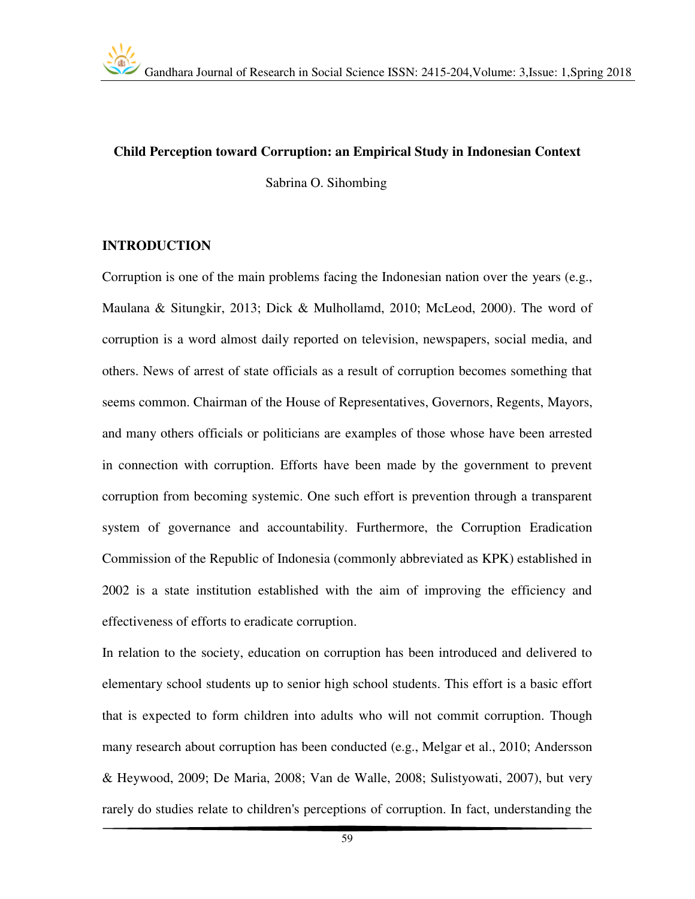#### **Child Perception toward Corruption: an Empirical Study in Indonesian Context**

Sabrina O. Sihombing

#### **INTRODUCTION**

Corruption is one of the main problems facing the Indonesian nation over the years (e.g., Maulana & Situngkir, 2013; Dick & Mulhollamd, 2010; McLeod, 2000). The word of corruption is a word almost daily reported on television, newspapers, social media, and others. News of arrest of state officials as a result of corruption becomes something that seems common. Chairman of the House of Representatives, Governors, Regents, Mayors, and many others officials or politicians are examples of those whose have been arrested in connection with corruption. Efforts have been made by the government to prevent corruption from becoming systemic. One such effort is prevention through a transparent system of governance and accountability. Furthermore, the Corruption Eradication Commission of the Republic of Indonesia (commonly abbreviated as KPK) established in 2002 is a state institution established with the aim of improving the efficiency and effectiveness of efforts to eradicate corruption.

In relation to the society, education on corruption has been introduced and delivered to elementary school students up to senior high school students. This effort is a basic effort that is expected to form children into adults who will not commit corruption. Though many research about corruption has been conducted (e.g., Melgar et al., 2010; Andersson & Heywood, 2009; De Maria, 2008; Van de Walle, 2008; Sulistyowati, 2007), but very rarely do studies relate to children's perceptions of corruption. In fact, understanding the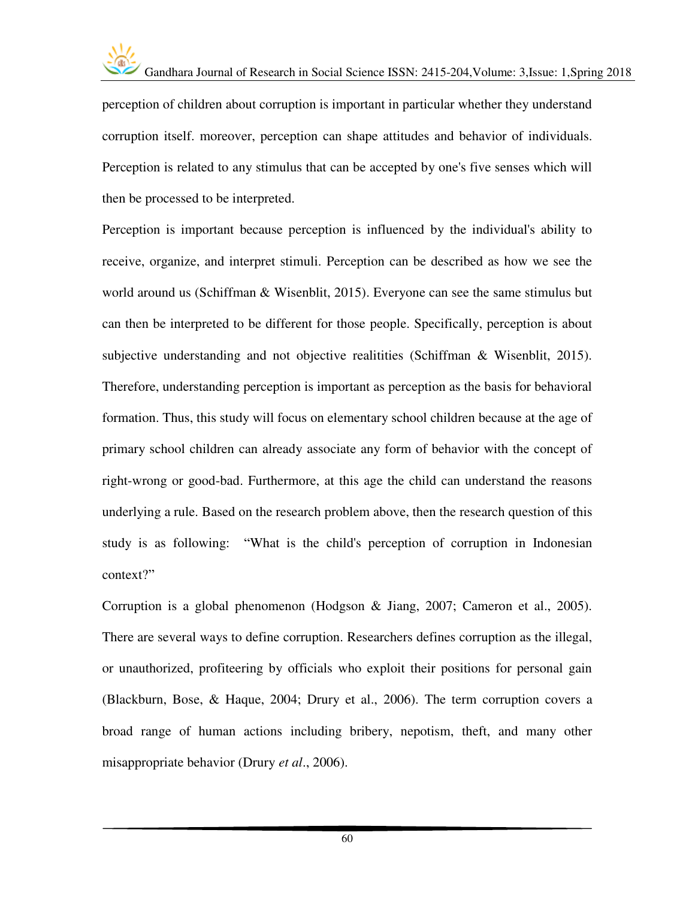

perception of children about corruption is important in particular whether they understand corruption itself. moreover, perception can shape attitudes and behavior of individuals. Perception is related to any stimulus that can be accepted by one's five senses which will then be processed to be interpreted.

Perception is important because perception is influenced by the individual's ability to receive, organize, and interpret stimuli. Perception can be described as how we see the world around us (Schiffman & Wisenblit, 2015). Everyone can see the same stimulus but can then be interpreted to be different for those people. Specifically, perception is about subjective understanding and not objective realitities (Schiffman & Wisenblit, 2015). Therefore, understanding perception is important as perception as the basis for behavioral formation. Thus, this study will focus on elementary school children because at the age of primary school children can already associate any form of behavior with the concept of right-wrong or good-bad. Furthermore, at this age the child can understand the reasons underlying a rule. Based on the research problem above, then the research question of this study is as following: "What is the child's perception of corruption in Indonesian context?"

Corruption is a global phenomenon (Hodgson & Jiang, 2007; Cameron et al., 2005). There are several ways to define corruption. Researchers defines corruption as the illegal, or unauthorized, profiteering by officials who exploit their positions for personal gain (Blackburn, Bose, & Haque, 2004; Drury et al., 2006). The term corruption covers a broad range of human actions including bribery, nepotism, theft, and many other misappropriate behavior (Drury *et al*., 2006).

60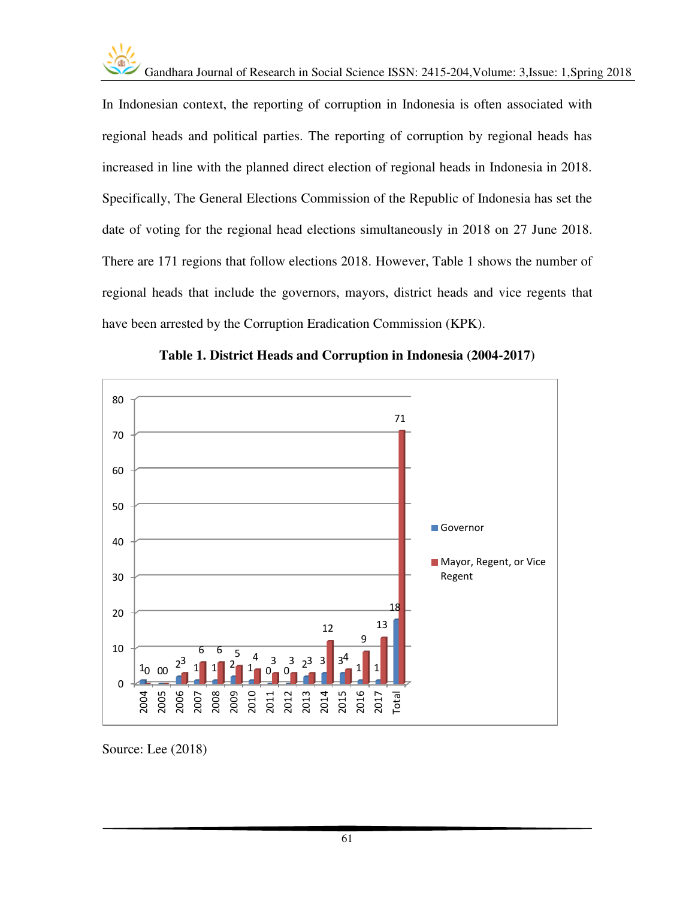In Indonesian context, the reporting of corruption in Indonesia is often associated with regional heads and political parties. The reporting of corruption by regional heads has increased in line with the planned direct election of regional heads in Indonesia in 2018. Specifically, The General Elections Commission of the Republic of Indonesia has set the date of voting for the regional head elections simultaneously in 2018 on 27 June 2018. There are 171 regions that follow elections 2018. However, Table 1 shows the number of regional heads that include the governors, mayors, district heads and vice regents that have been arrested by the Corruption Eradication Commission (KPK).





Source: Lee (2018)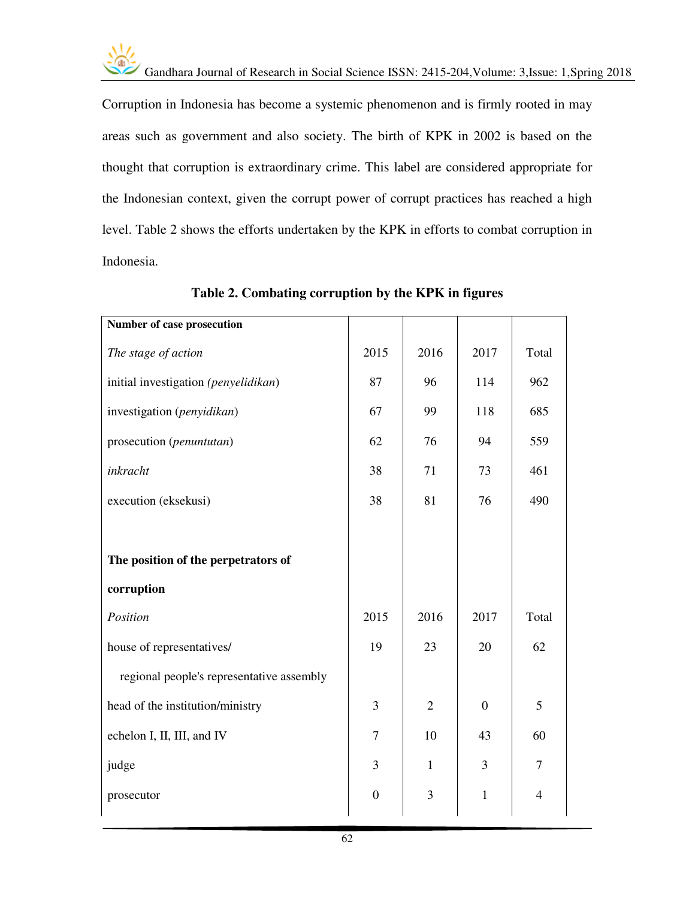

Corruption in Indonesia has become a systemic phenomenon and is firmly rooted in may areas such as government and also society. The birth of KPK in 2002 is based on the thought that corruption is extraordinary crime. This label are considered appropriate for the Indonesian context, given the corrupt power of corrupt practices has reached a high level. Table 2 shows the efforts undertaken by the KPK in efforts to combat corruption in Indonesia.

| 2015             | 2016           | 2017           | Total          |
|------------------|----------------|----------------|----------------|
| 87               | 96             | 114            | 962            |
| 67               | 99             | 118            | 685            |
| 62               | 76             | 94             | 559            |
| 38               | 71             | 73             | 461            |
| 38               | 81             | 76             | 490            |
|                  |                |                |                |
|                  |                |                |                |
| 2015             | 2016           | 2017           | Total          |
| 19               | 23             | 20             | 62             |
|                  |                |                |                |
| 3                | $\overline{2}$ | $\overline{0}$ | 5              |
| $\overline{7}$   | 10             | 43             | 60             |
| 3                | $\mathbf{1}$   | 3              | 7              |
| $\boldsymbol{0}$ | $\overline{3}$ | $\mathbf{1}$   | $\overline{4}$ |
|                  |                |                |                |

**Table 2. Combating corruption by the KPK in figures**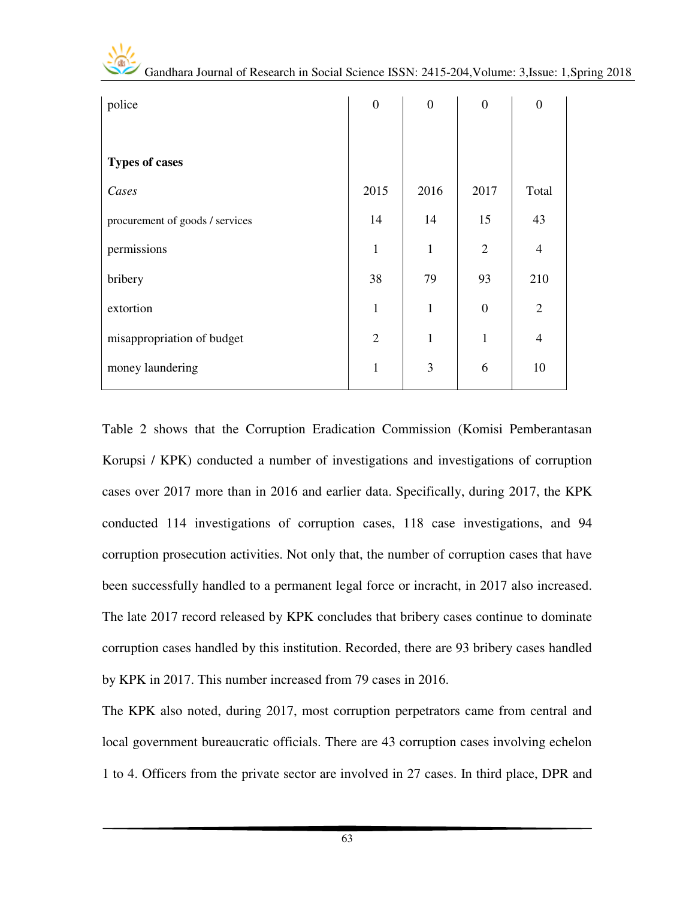| police                          | $\boldsymbol{0}$ | $\boldsymbol{0}$ | $\boldsymbol{0}$ | $\overline{0}$ |
|---------------------------------|------------------|------------------|------------------|----------------|
|                                 |                  |                  |                  |                |
| <b>Types of cases</b>           |                  |                  |                  |                |
| Cases                           | 2015             | 2016             | 2017             | Total          |
| procurement of goods / services | 14               | 14               | 15               | 43             |
| permissions                     | $\mathbf{1}$     | $\mathbf{1}$     | $\overline{2}$   | $\overline{4}$ |
| bribery                         | 38               | 79               | 93               | 210            |
| extortion                       | $\mathbf{1}$     | $\mathbf{1}$     | $\boldsymbol{0}$ | $\overline{2}$ |
| misappropriation of budget      | $\overline{2}$   | $\mathbf{1}$     | $\mathbf{1}$     | $\overline{4}$ |
| money laundering                | $\mathbf{1}$     | 3                | 6                | 10             |

Table 2 shows that the Corruption Eradication Commission (Komisi Pemberantasan Korupsi / KPK) conducted a number of investigations and investigations of corruption cases over 2017 more than in 2016 and earlier data. Specifically, during 2017, the KPK conducted 114 investigations of corruption cases, 118 case investigations, and 94 corruption prosecution activities. Not only that, the number of corruption cases that have been successfully handled to a permanent legal force or incracht, in 2017 also increased. The late 2017 record released by KPK concludes that bribery cases continue to dominate corruption cases handled by this institution. Recorded, there are 93 bribery cases handled by KPK in 2017. This number increased from 79 cases in 2016.

The KPK also noted, during 2017, most corruption perpetrators came from central and local government bureaucratic officials. There are 43 corruption cases involving echelon 1 to 4. Officers from the private sector are involved in 27 cases. In third place, DPR and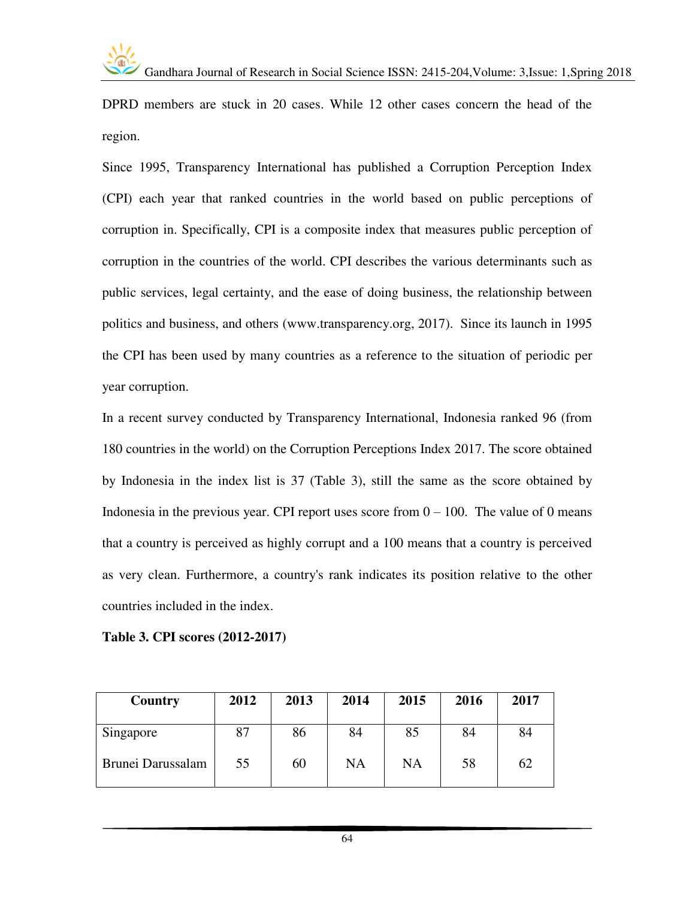DPRD members are stuck in 20 cases. While 12 other cases concern the head of the region.

Since 1995, Transparency International has published a Corruption Perception Index (CPI) each year that ranked countries in the world based on public perceptions of corruption in. Specifically, CPI is a composite index that measures public perception of corruption in the countries of the world. CPI describes the various determinants such as public services, legal certainty, and the ease of doing business, the relationship between politics and business, and others [\(www.transparency.org,](http://www.transparency.org/) 2017). Since its launch in 1995 the CPI has been used by many countries as a reference to the situation of periodic per year corruption.

In a recent survey conducted by Transparency International, Indonesia ranked 96 (from 180 countries in the world) on the Corruption Perceptions Index 2017. The score obtained by Indonesia in the index list is 37 (Table 3), still the same as the score obtained by Indonesia in the previous year. CPI report uses score from  $0 - 100$ . The value of 0 means that a country is perceived as highly corrupt and a 100 means that a country is perceived as very clean. Furthermore, a country's rank indicates its position relative to the other countries included in the index.

|  |  |  | Table 3. CPI scores (2012-2017) |
|--|--|--|---------------------------------|
|--|--|--|---------------------------------|

| Country           | 2012 | 2013 | 2014 | 2015      | 2016 | 2017 |
|-------------------|------|------|------|-----------|------|------|
| Singapore         | 87   | 86   | 84   | 85        | 84   | 84   |
| Brunei Darussalam | 55   | 60   | NA   | <b>NA</b> | 58   | 62   |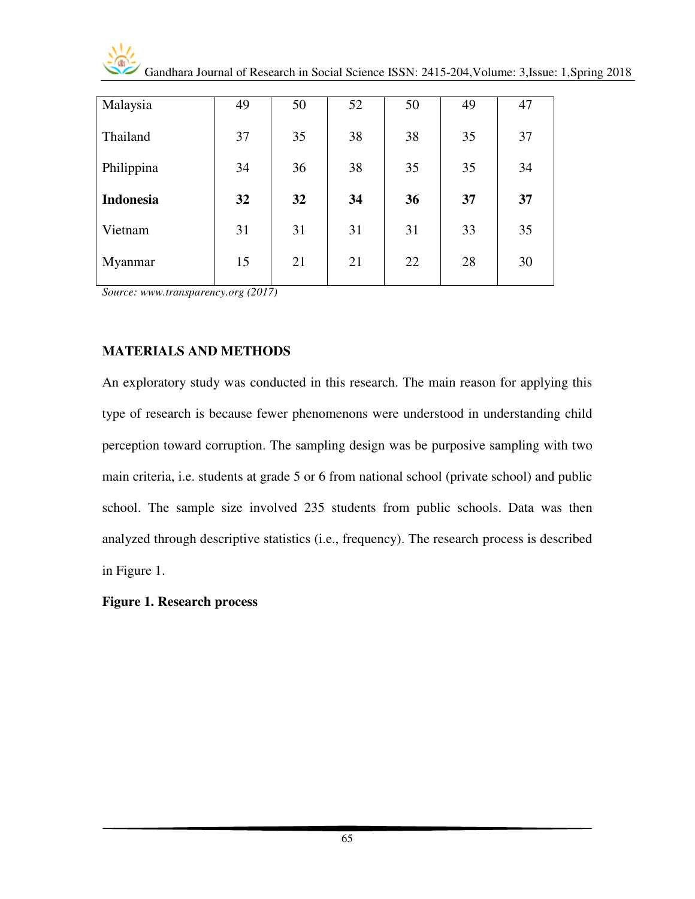| Malaysia         | 49 | 50 | 52 | 50 | 49 | 47 |
|------------------|----|----|----|----|----|----|
| Thailand         | 37 | 35 | 38 | 38 | 35 | 37 |
| Philippina       | 34 | 36 | 38 | 35 | 35 | 34 |
| <b>Indonesia</b> | 32 | 32 | 34 | 36 | 37 | 37 |
| Vietnam          | 31 | 31 | 31 | 31 | 33 | 35 |
| Myanmar          | 15 | 21 | 21 | 22 | 28 | 30 |
|                  |    |    |    |    |    |    |

*Source[: www.transparency.org \(](http://www.transparency.org/)2017)* 

## **MATERIALS AND METHODS**

An exploratory study was conducted in this research. The main reason for applying this type of research is because fewer phenomenons were understood in understanding child perception toward corruption. The sampling design was be purposive sampling with two main criteria, i.e. students at grade 5 or 6 from national school (private school) and public school. The sample size involved 235 students from public schools. Data was then analyzed through descriptive statistics (i.e., frequency). The research process is described in Figure 1.

**Figure 1. Research process**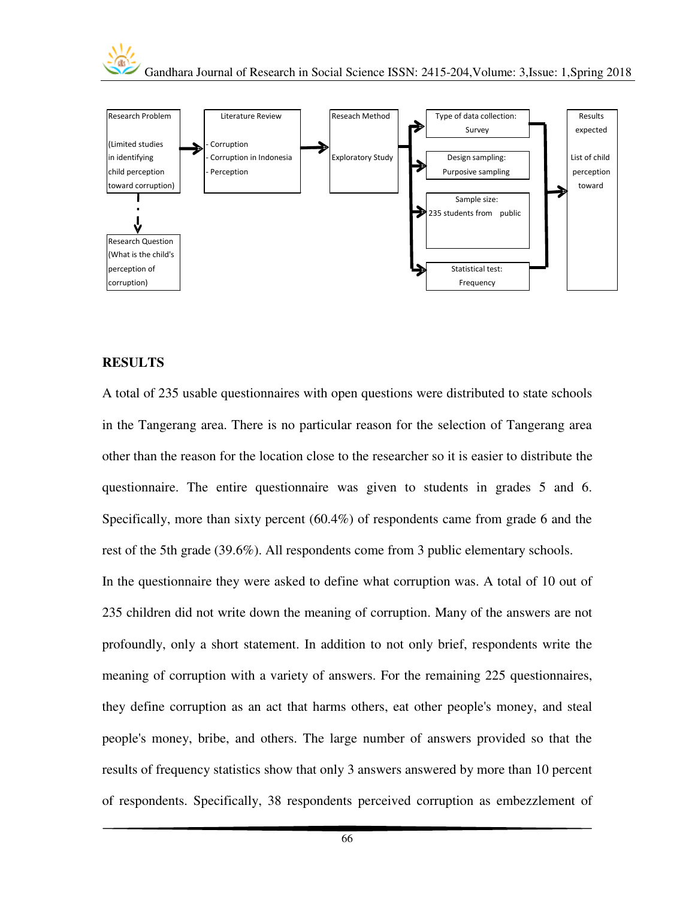



#### **RESULTS**

A total of 235 usable questionnaires with open questions were distributed to state schools in the Tangerang area. There is no particular reason for the selection of Tangerang area other than the reason for the location close to the researcher so it is easier to distribute the questionnaire. The entire questionnaire was given to students in grades 5 and 6. Specifically, more than sixty percent (60.4%) of respondents came from grade 6 and the rest of the 5th grade (39.6%). All respondents come from 3 public elementary schools.

In the questionnaire they were asked to define what corruption was. A total of 10 out of 235 children did not write down the meaning of corruption. Many of the answers are not profoundly, only a short statement. In addition to not only brief, respondents write the meaning of corruption with a variety of answers. For the remaining 225 questionnaires, they define corruption as an act that harms others, eat other people's money, and steal people's money, bribe, and others. The large number of answers provided so that the results of frequency statistics show that only 3 answers answered by more than 10 percent of respondents. Specifically, 38 respondents perceived corruption as embezzlement of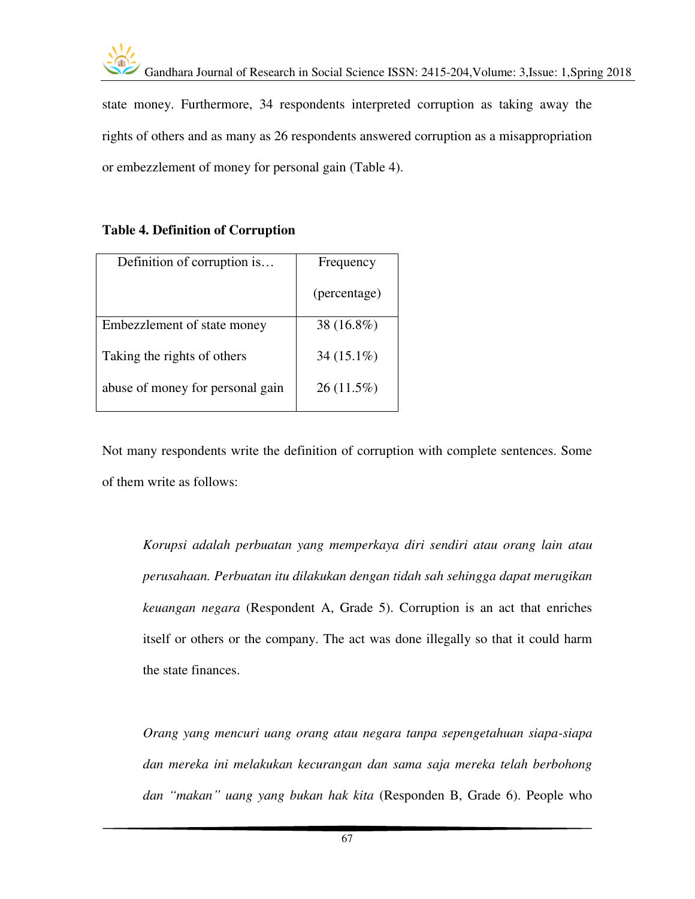

state money. Furthermore, 34 respondents interpreted corruption as taking away the rights of others and as many as 26 respondents answered corruption as a misappropriation or embezzlement of money for personal gain (Table 4).

## **Table 4. Definition of Corruption**

| Definition of corruption is      | Frequency     |
|----------------------------------|---------------|
|                                  | (percentage)  |
| Embezzlement of state money      | 38 $(16.8\%)$ |
| Taking the rights of others      | $34(15.1\%)$  |
| abuse of money for personal gain | $26(11.5\%)$  |

Not many respondents write the definition of corruption with complete sentences. Some of them write as follows:

*Korupsi adalah perbuatan yang memperkaya diri sendiri atau orang lain atau perusahaan. Perbuatan itu dilakukan dengan tidah sah sehingga dapat merugikan keuangan negara* (Respondent A, Grade 5). Corruption is an act that enriches itself or others or the company. The act was done illegally so that it could harm the state finances.

*Orang yang mencuri uang orang atau negara tanpa sepengetahuan siapa-siapa dan mereka ini melakukan kecurangan dan sama saja mereka telah berbohong dan "makan" uang yang bukan hak kita* (Responden B, Grade 6). People who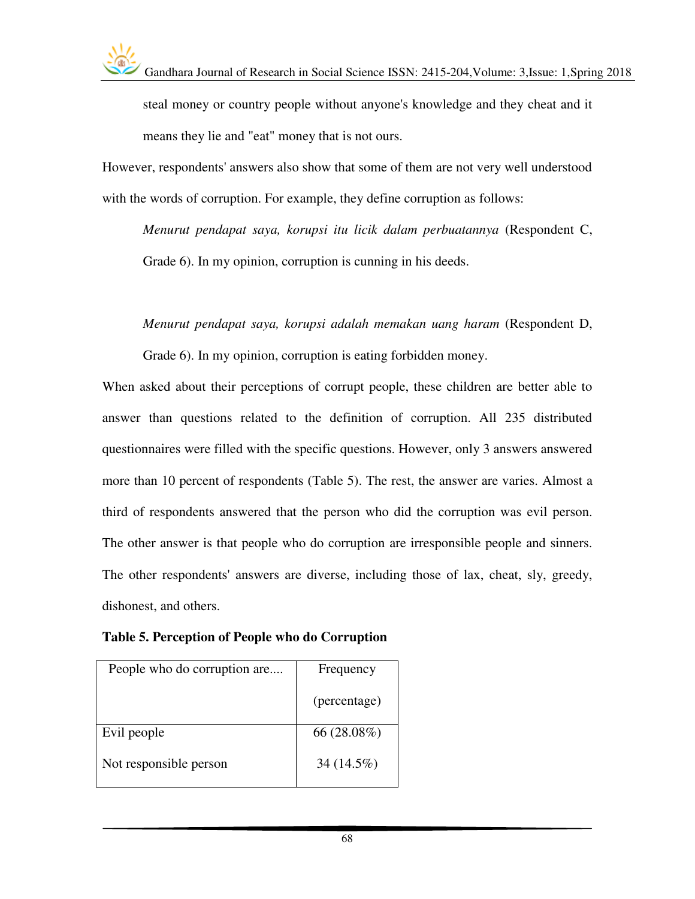steal money or country people without anyone's knowledge and they cheat and it means they lie and "eat" money that is not ours.

However, respondents' answers also show that some of them are not very well understood with the words of corruption. For example, they define corruption as follows:

*Menurut pendapat saya, korupsi itu licik dalam perbuatannya* (Respondent C, Grade 6). In my opinion, corruption is cunning in his deeds.

*Menurut pendapat saya, korupsi adalah memakan uang haram* (Respondent D,

Grade 6). In my opinion, corruption is eating forbidden money.

When asked about their perceptions of corrupt people, these children are better able to answer than questions related to the definition of corruption. All 235 distributed questionnaires were filled with the specific questions. However, only 3 answers answered more than 10 percent of respondents (Table 5). The rest, the answer are varies. Almost a third of respondents answered that the person who did the corruption was evil person. The other answer is that people who do corruption are irresponsible people and sinners. The other respondents' answers are diverse, including those of lax, cheat, sly, greedy, dishonest, and others.

**Table 5. Perception of People who do Corruption** 

| People who do corruption are | Frequency      |
|------------------------------|----------------|
|                              | (percentage)   |
| Evil people                  | 66 $(28.08\%)$ |
| Not responsible person       | 34 (14.5%)     |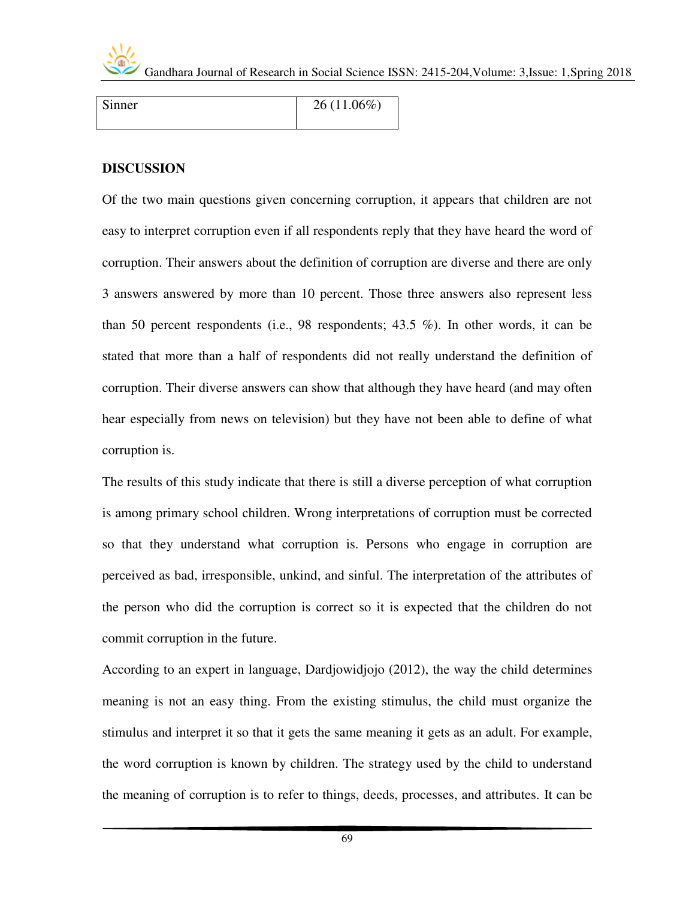

| Sinner | $26(11.06\%)$ |
|--------|---------------|
|        |               |

#### **DISCUSSION**

Of the two main questions given concerning corruption, it appears that children are not easy to interpret corruption even if all respondents reply that they have heard the word of corruption. Their answers about the definition of corruption are diverse and there are only 3 answers answered by more than 10 percent. Those three answers also represent less than 50 percent respondents (i.e., 98 respondents; 43.5 %). In other words, it can be stated that more than a half of respondents did not really understand the definition of corruption. Their diverse answers can show that although they have heard (and may often hear especially from news on television) but they have not been able to define of what corruption is.

The results of this study indicate that there is still a diverse perception of what corruption is among primary school children. Wrong interpretations of corruption must be corrected so that they understand what corruption is. Persons who engage in corruption are perceived as bad, irresponsible, unkind, and sinful. The interpretation of the attributes of the person who did the corruption is correct so it is expected that the children do not commit corruption in the future.

According to an expert in language, Dardjowidjojo (2012), the way the child determines meaning is not an easy thing. From the existing stimulus, the child must organize the stimulus and interpret it so that it gets the same meaning it gets as an adult. For example, the word corruption is known by children. The strategy used by the child to understand the meaning of corruption is to refer to things, deeds, processes, and attributes. It can be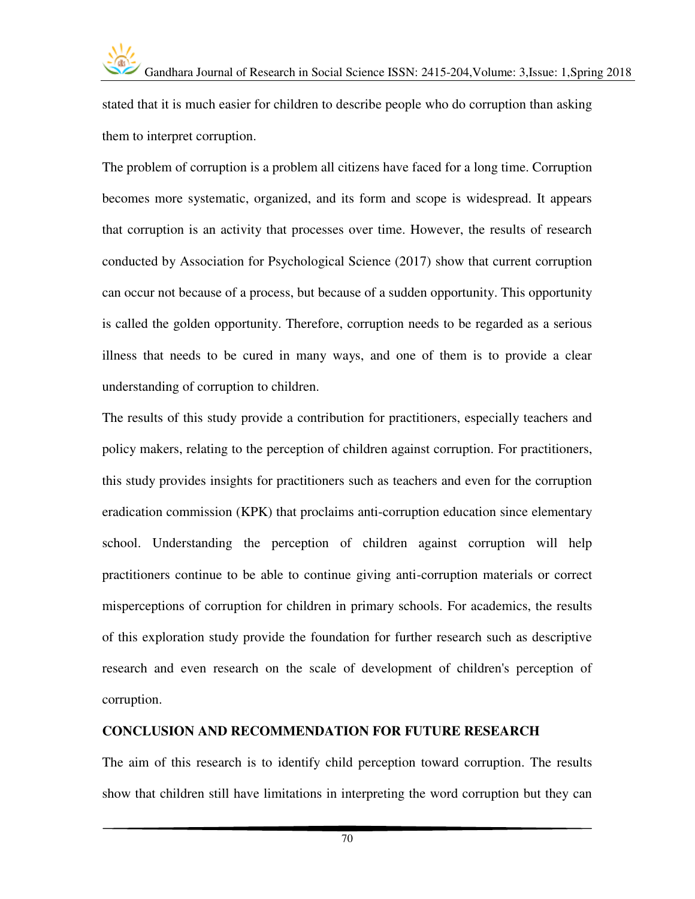

stated that it is much easier for children to describe people who do corruption than asking them to interpret corruption.

The problem of corruption is a problem all citizens have faced for a long time. Corruption becomes more systematic, organized, and its form and scope is widespread. It appears that corruption is an activity that processes over time. However, the results of research conducted by Association for Psychological Science (2017) show that current corruption can occur not because of a process, but because of a sudden opportunity. This opportunity is called the golden opportunity. Therefore, corruption needs to be regarded as a serious illness that needs to be cured in many ways, and one of them is to provide a clear understanding of corruption to children.

The results of this study provide a contribution for practitioners, especially teachers and policy makers, relating to the perception of children against corruption. For practitioners, this study provides insights for practitioners such as teachers and even for the corruption eradication commission (KPK) that proclaims anti-corruption education since elementary school. Understanding the perception of children against corruption will help practitioners continue to be able to continue giving anti-corruption materials or correct misperceptions of corruption for children in primary schools. For academics, the results of this exploration study provide the foundation for further research such as descriptive research and even research on the scale of development of children's perception of corruption.

#### **CONCLUSION AND RECOMMENDATION FOR FUTURE RESEARCH**

The aim of this research is to identify child perception toward corruption. The results show that children still have limitations in interpreting the word corruption but they can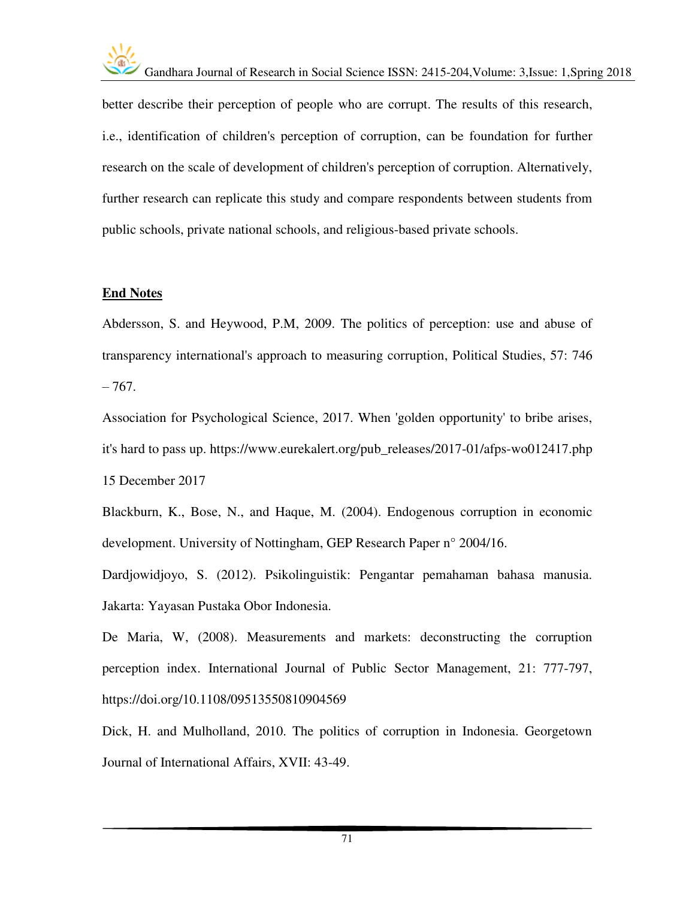better describe their perception of people who are corrupt. The results of this research, i.e., identification of children's perception of corruption, can be foundation for further research on the scale of development of children's perception of corruption. Alternatively, further research can replicate this study and compare respondents between students from public schools, private national schools, and religious-based private schools.

#### **End Notes**

Abdersson, S. and Heywood, P.M, 2009. The politics of perception: use and abuse of transparency international's approach to measuring corruption, Political Studies, 57: 746  $-767.$ 

Association for Psychological Science, 2017. When 'golden opportunity' to bribe arises, it's hard to pass up. [https://www.eurekalert.org/pub\\_releases/2017-01/afps-wo012417.php](https://www.eurekalert.org/pub_releases/2017-01/afps-wo012417.php)  15 December 2017

Blackburn, K., Bose, N., and Haque, M. (2004). Endogenous corruption in economic development. University of Nottingham, GEP Research Paper n° 2004/16.

Dardjowidjoyo, S. (2012). Psikolinguistik: Pengantar pemahaman bahasa manusia. Jakarta: Yayasan Pustaka Obor Indonesia.

De Maria, W, (2008). Measurements and markets: deconstructing the corruption perception index. International Journal of Public Sector Management, 21: 777-797, <https://doi.org/10.1108/09513550810904569>

Dick, H. and Mulholland, 2010. The politics of corruption in Indonesia. Georgetown Journal of International Affairs, XVII: 43-49.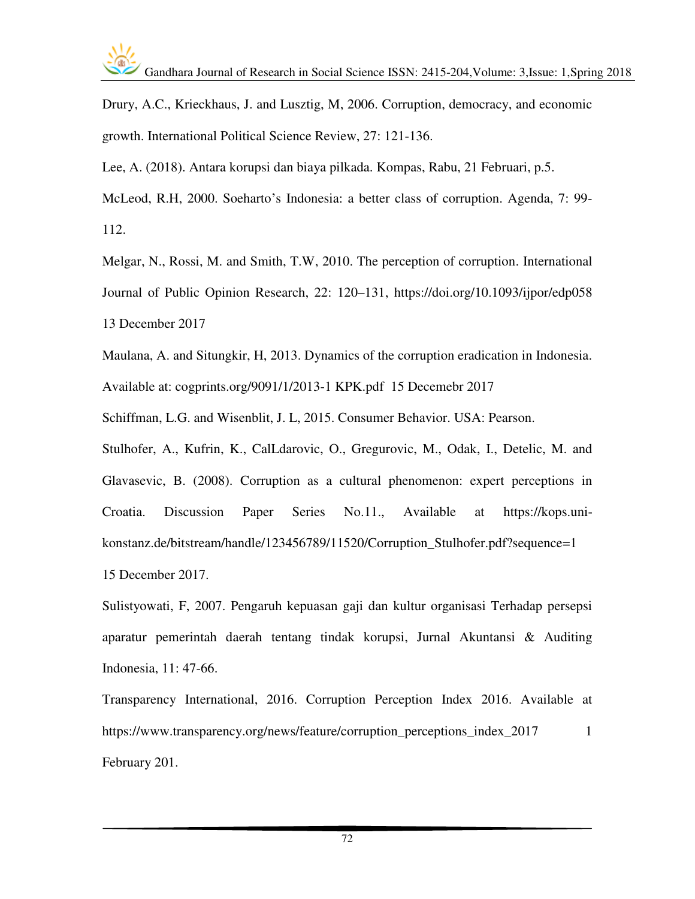Drury, A.C., Krieckhaus, J. and Lusztig, M, 2006. Corruption, democracy, and economic growth. International Political Science Review, 27: 121-136.

Lee, A. (2018). Antara korupsi dan biaya pilkada. Kompas, Rabu, 21 Februari, p.5.

McLeod, R.H, 2000. Soeharto's Indonesia: a better class of corruption. Agenda, 7: 99- 112.

Melgar, N., Rossi, M. and Smith, T.W, 2010. The perception of corruption. International Journal of Public Opinion Research, 22: 120–131, [https://doi.org/10.1093/ijpor/edp058](https://doi.org/10.1093/ijpor/edp058%2013%20December%202017)  [13 December 2017](https://doi.org/10.1093/ijpor/edp058%2013%20December%202017) 

Maulana, A. and Situngkir, H, 2013. Dynamics of the corruption eradication in Indonesia. Available at: cogprints.org/9091/1/2013-1 KPK.pdf 15 Decemebr 2017

Schiffman, L.G. and Wisenblit, J. L, 2015. Consumer Behavior. USA: Pearson.

Stulhofer, A., Kufrin, K., CalLdarovic, O., Gregurovic, M., Odak, I., Detelic, M. and Glavasevic, B. (2008). Corruption as a cultural phenomenon: expert perceptions in Croatia. Discussion Paper Series No.11., Available at [https://kops.uni](https://kops.uni-konstanz.de/bitstream/handle/123456789/11520/Corruption_Stulhofer.pdf?sequence=1)[konstanz.de/bitstream/handle/123456789/11520/Corruption\\_Stulhofer.pdf?sequence=1](https://kops.uni-konstanz.de/bitstream/handle/123456789/11520/Corruption_Stulhofer.pdf?sequence=1)  15 December 2017.

Sulistyowati, F, 2007. Pengaruh kepuasan gaji dan kultur organisasi Terhadap persepsi aparatur pemerintah daerah tentang tindak korupsi, Jurnal Akuntansi & Auditing Indonesia, 11: 47-66.

Transparency International, 2016. Corruption Perception Index 2016. Available at https://www.transparency.org/news/feature/corruption perceptions index 2017 1 February 201.